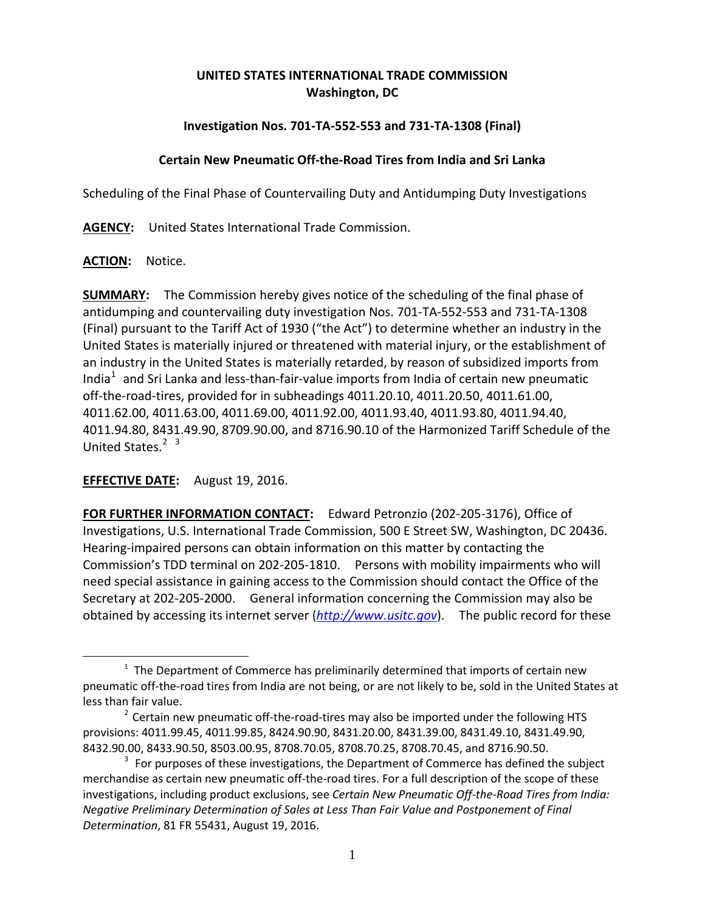# **UNITED STATES INTERNATIONAL TRADE COMMISSION Washington, DC**

# **Investigation Nos. 701-TA-552-553 and 731-TA-1308 (Final)**

## **Certain New Pneumatic Off-the-Road Tires from India and Sri Lanka**

Scheduling of the Final Phase of Countervailing Duty and Antidumping Duty Investigations

**AGENCY:** United States International Trade Commission.

#### **ACTION:** Notice.

 $\overline{a}$ 

**SUMMARY:** The Commission hereby gives notice of the scheduling of the final phase of antidumping and countervailing duty investigation Nos. 701-TA-552-553 and 731-TA-1308 (Final) pursuant to the Tariff Act of 1930 ("the Act") to determine whether an industry in the United States is materially injured or threatened with material injury, or the establishment of an industry in the United States is materially retarded, by reason of subsidized imports from India<sup>[1](#page-0-0)</sup> and Sri Lanka and less-than-fair-value imports from India of certain new pneumatic off-the-road-tires, provided for in subheadings 4011.20.10, 4011.20.50, 4011.61.00, 4011.62.00, 4011.63.00, 4011.69.00, 4011.92.00, 4011.93.40, 4011.93.80, 4011.94.40, 4011.94.80, 8431.49.90, 8709.90.00, and 8716.90.10 of the Harmonized Tariff Schedule of the United States.<sup>[2](#page-0-1)</sup><sup>[3](#page-0-2)</sup>

## **EFFECTIVE DATE:** August 19, 2016.

**FOR FURTHER INFORMATION CONTACT:** Edward Petronzio (202-205-3176), Office of Investigations, U.S. International Trade Commission, 500 E Street SW, Washington, DC 20436. Hearing-impaired persons can obtain information on this matter by contacting the Commission's TDD terminal on 202-205-1810. Persons with mobility impairments who will need special assistance in gaining access to the Commission should contact the Office of the Secretary at 202-205-2000. General information concerning the Commission may also be obtained by accessing its internet server (*[http://www.usitc.gov](http://www.usitc.gov/)*). The public record for these

<span id="page-0-0"></span> $1$  The Department of Commerce has preliminarily determined that imports of certain new pneumatic off-the-road tires from India are not being, or are not likely to be, sold in the United States at less than fair value.<br><sup>2</sup> Certain new pneumatic off-the-road-tires may also be imported under the following HTS

<span id="page-0-1"></span>provisions: 4011.99.45, 4011.99.85, 8424.90.90, 8431.20.00, 8431.39.00, 8431.49.10, 8431.49.90, 8432.90.00, 8433.90.50, 8503.00.95, 8708.70.05, 8708.70.25, 8708.70.45, and 8716.90.50.

<span id="page-0-2"></span> $3$  For purposes of these investigations, the Department of Commerce has defined the subject merchandise as certain new pneumatic off-the-road tires. For a full description of the scope of these investigations, including product exclusions, see *Certain New Pneumatic Off-the-Road Tires from India: Negative Preliminary Determination of Sales at Less Than Fair Value and Postponement of Final Determination*, 81 FR 55431, August 19, 2016.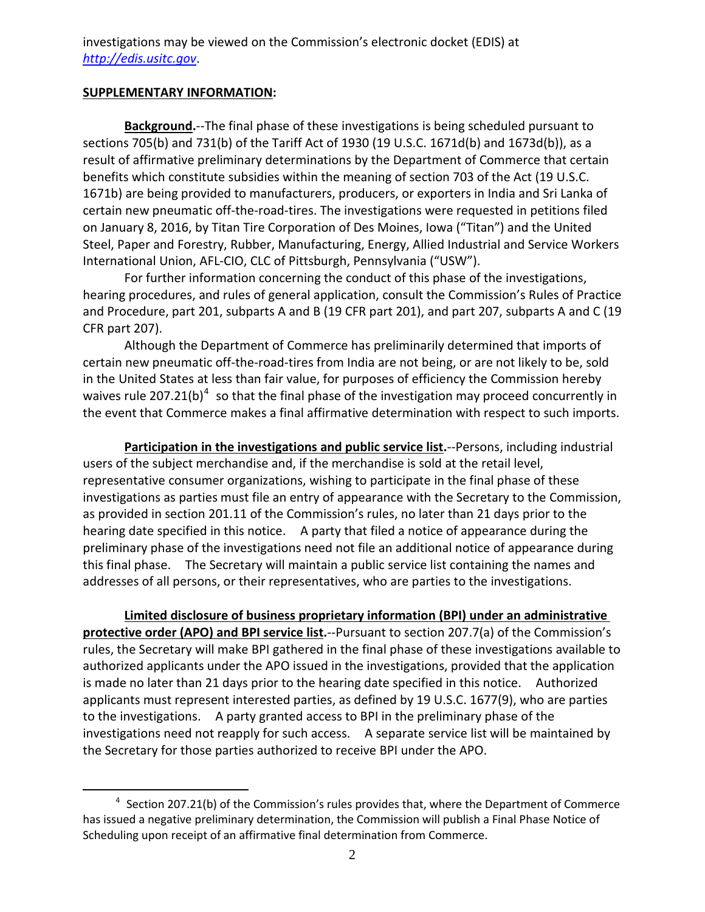investigations may be viewed on the Commission's electronic docket (EDIS) at *[http://edis.usitc.gov](http://edis.usitc.gov/)*.

#### **SUPPLEMENTARY INFORMATION:**

 $\overline{a}$ 

**Background.**--The final phase of these investigations is being scheduled pursuant to sections 705(b) and 731(b) of the Tariff Act of 1930 (19 U.S.C. 1671d(b) and 1673d(b)), as a result of affirmative preliminary determinations by the Department of Commerce that certain benefits which constitute subsidies within the meaning of section 703 of the Act (19 U.S.C. 1671b) are being provided to manufacturers, producers, or exporters in India and Sri Lanka of certain new pneumatic off-the-road-tires. The investigations were requested in petitions filed on January 8, 2016, by Titan Tire Corporation of Des Moines, Iowa ("Titan") and the United Steel, Paper and Forestry, Rubber, Manufacturing, Energy, Allied Industrial and Service Workers International Union, AFL-CIO, CLC of Pittsburgh, Pennsylvania ("USW").

For further information concerning the conduct of this phase of the investigations, hearing procedures, and rules of general application, consult the Commission's Rules of Practice and Procedure, part 201, subparts A and B (19 CFR part 201), and part 207, subparts A and C (19 CFR part 207).

Although the Department of Commerce has preliminarily determined that imports of certain new pneumatic off-the-road-tires from India are not being, or are not likely to be, sold in the United States at less than fair value, for purposes of efficiency the Commission hereby waives rule 207.21(b)<sup>[4](#page-1-0)</sup> so that the final phase of the investigation may proceed concurrently in the event that Commerce makes a final affirmative determination with respect to such imports.

**Participation in the investigations and public service list.**--Persons, including industrial users of the subject merchandise and, if the merchandise is sold at the retail level, representative consumer organizations, wishing to participate in the final phase of these investigations as parties must file an entry of appearance with the Secretary to the Commission, as provided in section 201.11 of the Commission's rules, no later than 21 days prior to the hearing date specified in this notice. A party that filed a notice of appearance during the preliminary phase of the investigations need not file an additional notice of appearance during this final phase. The Secretary will maintain a public service list containing the names and addresses of all persons, or their representatives, who are parties to the investigations.

**Limited disclosure of business proprietary information (BPI) under an administrative protective order (APO) and BPI service list.**--Pursuant to section 207.7(a) of the Commission's rules, the Secretary will make BPI gathered in the final phase of these investigations available to authorized applicants under the APO issued in the investigations, provided that the application is made no later than 21 days prior to the hearing date specified in this notice. Authorized applicants must represent interested parties, as defined by 19 U.S.C. 1677(9), who are parties to the investigations. A party granted access to BPI in the preliminary phase of the investigations need not reapply for such access. A separate service list will be maintained by the Secretary for those parties authorized to receive BPI under the APO.

<span id="page-1-0"></span> $4$  Section 207.21(b) of the Commission's rules provides that, where the Department of Commerce has issued a negative preliminary determination, the Commission will publish a Final Phase Notice of Scheduling upon receipt of an affirmative final determination from Commerce.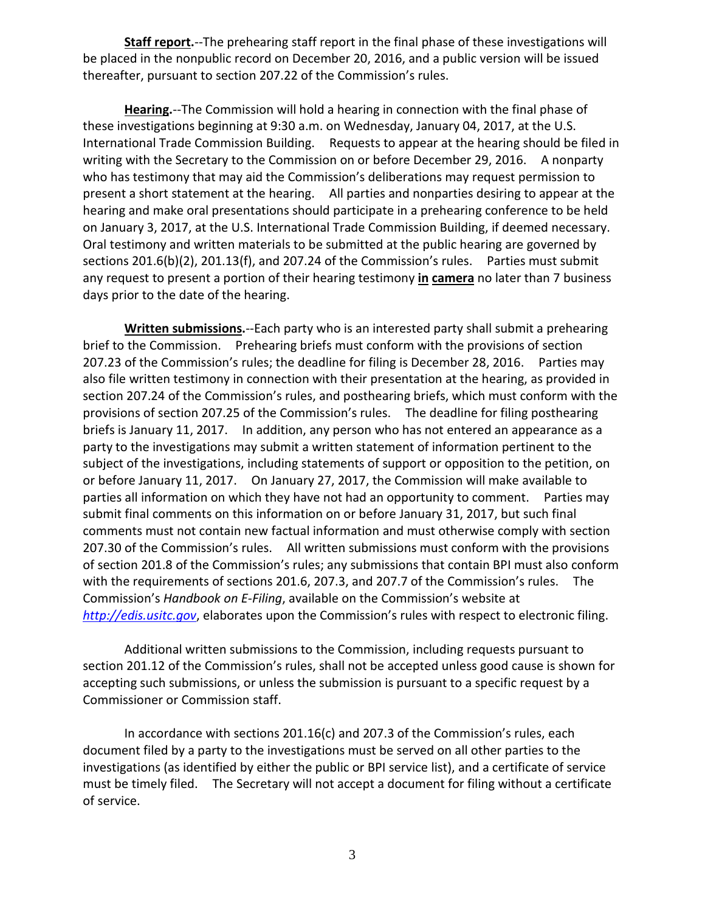**Staff report.**--The prehearing staff report in the final phase of these investigations will be placed in the nonpublic record on December 20, 2016, and a public version will be issued thereafter, pursuant to section 207.22 of the Commission's rules.

**Hearing.**--The Commission will hold a hearing in connection with the final phase of these investigations beginning at 9:30 a.m. on Wednesday, January 04, 2017, at the U.S. International Trade Commission Building. Requests to appear at the hearing should be filed in writing with the Secretary to the Commission on or before December 29, 2016. A nonparty who has testimony that may aid the Commission's deliberations may request permission to present a short statement at the hearing. All parties and nonparties desiring to appear at the hearing and make oral presentations should participate in a prehearing conference to be held on January 3, 2017, at the U.S. International Trade Commission Building, if deemed necessary. Oral testimony and written materials to be submitted at the public hearing are governed by sections 201.6(b)(2), 201.13(f), and 207.24 of the Commission's rules. Parties must submit any request to present a portion of their hearing testimony **in camera** no later than 7 business days prior to the date of the hearing.

**Written submissions.**--Each party who is an interested party shall submit a prehearing brief to the Commission. Prehearing briefs must conform with the provisions of section 207.23 of the Commission's rules; the deadline for filing is December 28, 2016. Parties may also file written testimony in connection with their presentation at the hearing, as provided in section 207.24 of the Commission's rules, and posthearing briefs, which must conform with the provisions of section 207.25 of the Commission's rules. The deadline for filing posthearing briefs is January 11, 2017. In addition, any person who has not entered an appearance as a party to the investigations may submit a written statement of information pertinent to the subject of the investigations, including statements of support or opposition to the petition, on or before January 11, 2017. On January 27, 2017, the Commission will make available to parties all information on which they have not had an opportunity to comment. Parties may submit final comments on this information on or before January 31, 2017, but such final comments must not contain new factual information and must otherwise comply with section 207.30 of the Commission's rules. All written submissions must conform with the provisions of section 201.8 of the Commission's rules; any submissions that contain BPI must also conform with the requirements of sections 201.6, 207.3, and 207.7 of the Commission's rules. The Commission's *Handbook on E-Filing*, available on the Commission's website at *[http://edis.usitc.gov](http://edis.usitc.gov/)*, elaborates upon the Commission's rules with respect to electronic filing.

Additional written submissions to the Commission, including requests pursuant to section 201.12 of the Commission's rules, shall not be accepted unless good cause is shown for accepting such submissions, or unless the submission is pursuant to a specific request by a Commissioner or Commission staff.

In accordance with sections 201.16(c) and 207.3 of the Commission's rules, each document filed by a party to the investigations must be served on all other parties to the investigations (as identified by either the public or BPI service list), and a certificate of service must be timely filed. The Secretary will not accept a document for filing without a certificate of service.